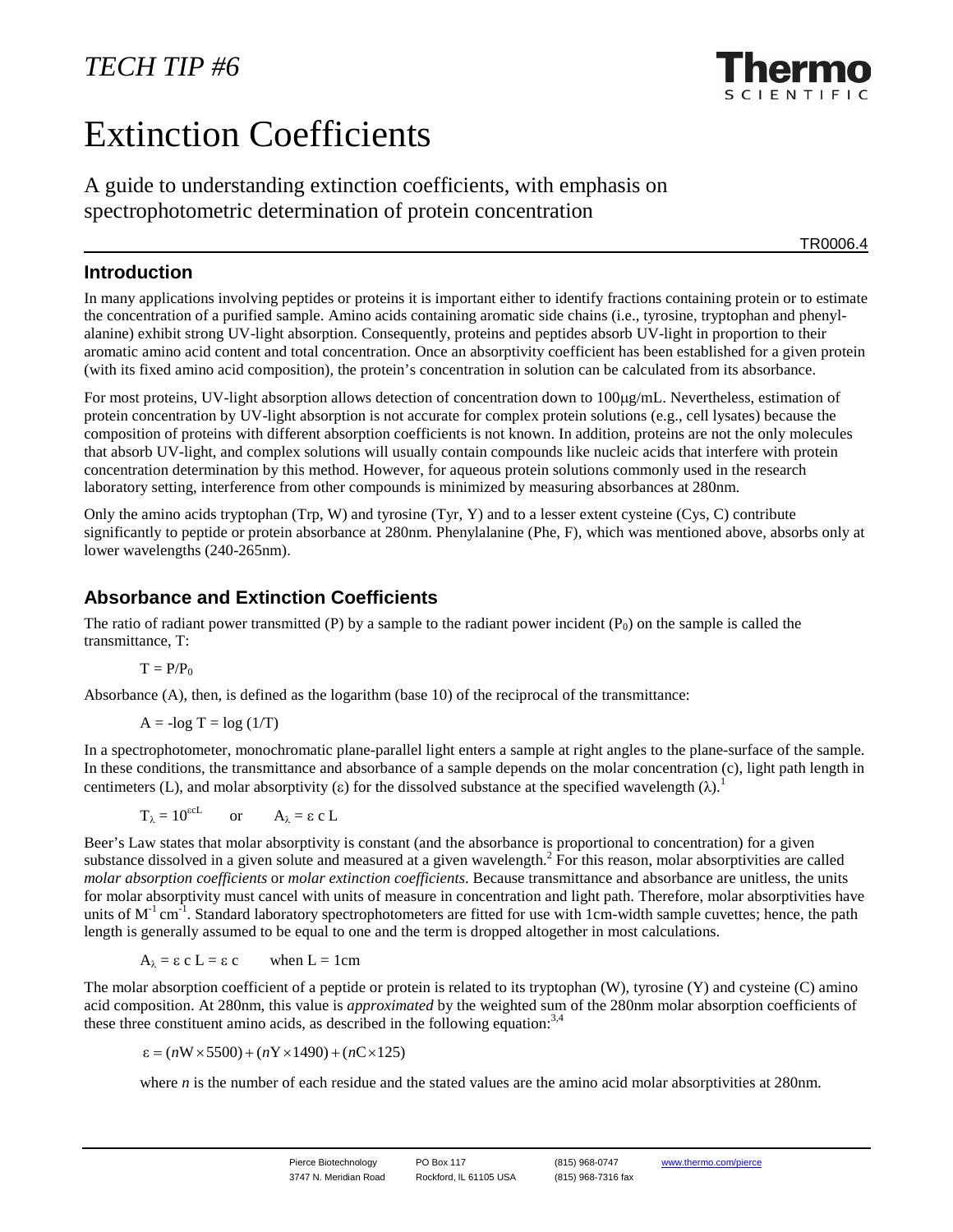# Extinction Coefficients

A guide to understanding extinction coefficients, with emphasis on spectrophotometric determination of protein concentration

TR0006.4

## **Introduction**

In many applications involving peptides or proteins it is important either to identify fractions containing protein or to estimate the concentration of a purified sample. Amino acids containing aromatic side chains (i.e., tyrosine, tryptophan and phenylalanine) exhibit strong UV-light absorption. Consequently, proteins and peptides absorb UV-light in proportion to their aromatic amino acid content and total concentration. Once an absorptivity coefficient has been established for a given protein (with its fixed amino acid composition), the protein's concentration in solution can be calculated from its absorbance.

For most proteins, UV-light absorption allows detection of concentration down to 100µg/mL. Nevertheless, estimation of protein concentration by UV-light absorption is not accurate for complex protein solutions (e.g., cell lysates) because the composition of proteins with different absorption coefficients is not known. In addition, proteins are not the only molecules that absorb UV-light, and complex solutions will usually contain compounds like nucleic acids that interfere with protein concentration determination by this method. However, for aqueous protein solutions commonly used in the research laboratory setting, interference from other compounds is minimized by measuring absorbances at 280nm.

Only the amino acids tryptophan (Trp, W) and tyrosine (Tyr, Y) and to a lesser extent cysteine (Cys, C) contribute significantly to peptide or protein absorbance at 280nm. Phenylalanine (Phe, F), which was mentioned above, absorbs only at lower wavelengths (240-265nm).

# **Absorbance and Extinction Coefficients**

The ratio of radiant power transmitted (P) by a sample to the radiant power incident  $(P_0)$  on the sample is called the transmittance, T:

$$
T=P/P_0
$$

Absorbance (A), then, is defined as the logarithm (base 10) of the reciprocal of the transmittance:

$$
A = -\log T = \log (1/T)
$$

In a spectrophotometer, monochromatic plane-parallel light enters a sample at right angles to the plane-surface of the sample. In these conditions, the transmittance and absorbance of a sample depends on the molar concentration (c), light path length in centimeters (L), and molar absorptivity (ε) for the dissolved substance at the specified wavelength  $(\lambda)$ .<sup>1</sup>

$$
T_{\lambda} = 10^{\text{scL}}
$$
 or  $A_{\lambda} = \varepsilon \text{ c L}$ 

Beer's Law states that molar absorptivity is constant (and the absorbance is proportional to concentration) for a given substance dissolved in a given solute and measured at a given wavelength.<sup>2</sup> For this reason, molar absorptivities are called *molar absorption coefficients* or *molar extinction coefficients*. Because transmittance and absorbance are unitless, the units for molar absorptivity must cancel with units of measure in concentration and light path. Therefore, molar absorptivities have units of  $M^{-1}$  cm<sup>-1</sup>. Standard laboratory spectrophotometers are fitted for use with 1cm-width sample cuvettes; hence, the path length is generally assumed to be equal to one and the term is dropped altogether in most calculations.

 $A_{\lambda} = \varepsilon$  c L =  $\varepsilon$  c when L = 1cm

The molar absorption coefficient of a peptide or protein is related to its tryptophan (W), tyrosine (Y) and cysteine (C) amino acid composition. At 280nm, this value is *approximated* by the weighted sum of the 280nm molar absorption coefficients of these three constituent amino acids, as described in the following equation:  $3,4$ 

$$
\varepsilon = (n \mathbf{W} \times 5500) + (n \mathbf{Y} \times 1490) + (n \mathbf{C} \times 125)
$$

where *n* is the number of each residue and the stated values are the amino acid molar absorptivities at 280nm.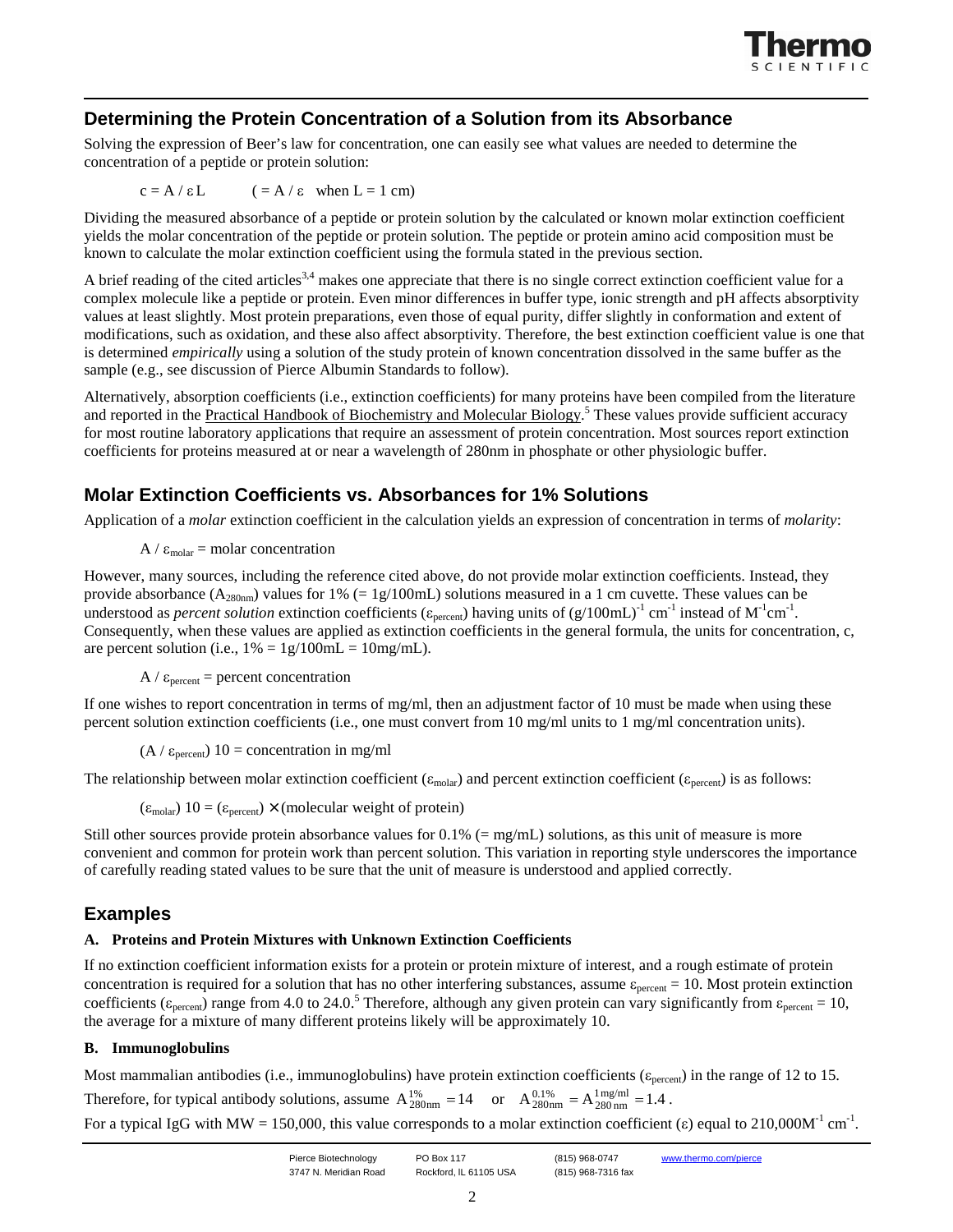

# **Determining the Protein Concentration of a Solution from its Absorbance**

Solving the expression of Beer's law for concentration, one can easily see what values are needed to determine the concentration of a peptide or protein solution:

$$
c = A / \varepsilon L
$$
  $(= A / \varepsilon \text{ when } L = 1 \text{ cm})$ 

Dividing the measured absorbance of a peptide or protein solution by the calculated or known molar extinction coefficient yields the molar concentration of the peptide or protein solution. The peptide or protein amino acid composition must be known to calculate the molar extinction coefficient using the formula stated in the previous section.

A brief reading of the cited articles<sup>3,4</sup> makes one appreciate that there is no single correct extinction coefficient value for a complex molecule like a peptide or protein. Even minor differences in buffer type, ionic strength and pH affects absorptivity values at least slightly. Most protein preparations, even those of equal purity, differ slightly in conformation and extent of modifications, such as oxidation, and these also affect absorptivity. Therefore, the best extinction coefficient value is one that is determined *empirically* using a solution of the study protein of known concentration dissolved in the same buffer as the sample (e.g., see discussion of Pierce Albumin Standards to follow).

Alternatively, absorption coefficients (i.e., extinction coefficients) for many proteins have been compiled from the literature and reported in the Practical Handbook of Biochemistry and Molecular Biology.<sup>5</sup> These values provide sufficient accuracy for most routine laboratory applications that require an assessment of protein concentration. Most sources report extinction coefficients for proteins measured at or near a wavelength of 280nm in phosphate or other physiologic buffer.

# **Molar Extinction Coefficients vs. Absorbances for 1% Solutions**

Application of a *molar* extinction coefficient in the calculation yields an expression of concentration in terms of *molarity*:

 $A / \varepsilon_{\text{molar}} = \text{molar concentration}$ 

However, many sources, including the reference cited above, do not provide molar extinction coefficients. Instead, they provide absorbance ( $A_{280nm}$ ) values for 1% (= 1g/100mL) solutions measured in a 1 cm cuvette. These values can be understood as *percent solution* extinction coefficients ( $\varepsilon_{\text{percent}}$ ) having units of (g/100mL)<sup>-1</sup> cm<sup>-1</sup> instead of M<sup>-1</sup>cm<sup>-1</sup>. Consequently, when these values are applied as extinction coefficients in the general formula, the units for concentration, c, are percent solution (i.e.,  $1\% = 1g/100mL = 10mg/mL$ ).

 $A / \varepsilon_{\text{percent}}$  = percent concentration

If one wishes to report concentration in terms of mg/ml, then an adjustment factor of 10 must be made when using these percent solution extinction coefficients (i.e., one must convert from 10 mg/ml units to 1 mg/ml concentration units).

 $(A / \varepsilon_{percent})$  10 = concentration in mg/ml

The relationship between molar extinction coefficient ( $\varepsilon_{\text{molar}}$ ) and percent extinction coefficient ( $\varepsilon_{\text{percent}}$ ) is as follows:

 $(\epsilon_{\text{molar}})$  10 =  $(\epsilon_{\text{percent}}) \times$  (molecular weight of protein)

Still other sources provide protein absorbance values for  $0.1\%$  (= mg/mL) solutions, as this unit of measure is more convenient and common for protein work than percent solution. This variation in reporting style underscores the importance of carefully reading stated values to be sure that the unit of measure is understood and applied correctly.

# **Examples**

### **A. Proteins and Protein Mixtures with Unknown Extinction Coefficients**

If no extinction coefficient information exists for a protein or protein mixture of interest, and a rough estimate of protein concentration is required for a solution that has no other interfering substances, assume  $\varepsilon_{\text{percent}} = 10$ . Most protein extinction coefficients ( $\varepsilon_{\text{percent}}$ ) range from 4.0 to 24.0.<sup>5</sup> Therefore, although any given protein can vary significantly from  $\varepsilon_{\text{percent}} = 10$ , the average for a mixture of many different proteins likely will be approximately 10.

### **B. Immunoglobulins**

Most mammalian antibodies (i.e., immunoglobulins) have protein extinction coefficients ( $\varepsilon_{\text{percent}}$ ) in the range of 12 to 15. Therefore, for typical antibody solutions, assume  $A_{280nm}^{1%} = 14$  or  $A_{280nm}^{0.1%} = A_{280nm}^{1} = 1.4$ .